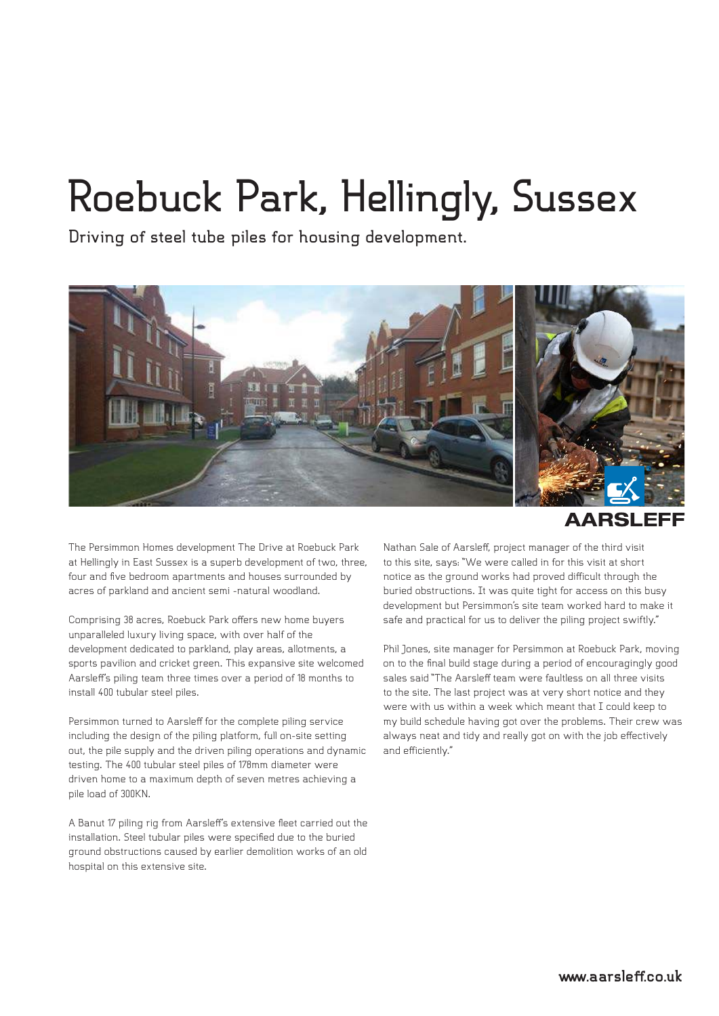## **Roebuck Park, Hellingly, Sussex**

**Driving of steel tube piles for housing development.**



**AARSLEFI** 

The Persimmon Homes development The Drive at Roebuck Park at Hellingly in East Sussex is a superb development of two, three, four and five bedroom apartments and houses surrounded by acres of parkland and ancient semi -natural woodland.

Comprising 38 acres, Roebuck Park offers new home buyers unparalleled luxury living space, with over half of the development dedicated to parkland, play areas, allotments, a sports pavilion and cricket green. This expansive site welcomed Aarsleff's piling team three times over a period of 18 months to install 400 tubular steel piles.

Persimmon turned to Aarsleff for the complete piling service including the design of the piling platform, full on-site setting out, the pile supply and the driven piling operations and dynamic testing. The 400 tubular steel piles of 178mm diameter were driven home to a maximum depth of seven metres achieving a pile load of 300KN.

A Banut 17 piling rig from Aarsleff's extensive fleet carried out the installation. Steel tubular piles were specified due to the buried ground obstructions caused by earlier demolition works of an old hospital on this extensive site.

Nathan Sale of Aarsleff, project manager of the third visit to this site, says: "We were called in for this visit at short notice as the ground works had proved difficult through the buried obstructions. It was quite tight for access on this busy development but Persimmon's site team worked hard to make it safe and practical for us to deliver the piling project swiftly."

Phil Jones, site manager for Persimmon at Roebuck Park, moving on to the final build stage during a period of encouragingly good sales said "The Aarsleff team were faultless on all three visits to the site. The last project was at very short notice and they were with us within a week which meant that I could keep to my build schedule having got over the problems. Their crew was always neat and tidy and really got on with the job effectively and efficiently."